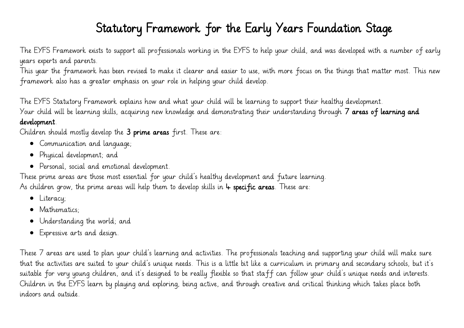#### Statutory Framework for the Early Years Foundation Stage

The EYFS Framework exists to support all professionals working in the EYFS to help your child, and was developed with a number of early years experts and parents.

This year the framework has been revised to make it clearer and easier to use, with more focus on the things that matter most. This new framework also has a greater emphasis on your role in helping your child develop.

The EYFS Statutory Framework explains how and what your child will be learning to support their healthy development.

Your child will be learning skills, acquiring new knowledge and demonstrating their understanding through 7 areas of learning and

#### development.

Children should mostly develop the 3 prime areas first. These are:

- Communication and language;
- Physical development; and
- Personal, social and emotional development.

These prime areas are those most essential for your child's healthy development and future learning. As children grow, the prime areas will help them to develop skills in  $4$  specific areas. These are:

- Literacy;
- Mathematics:
- Understanding the world; and
- Expressive arts and design.

These 7 areas are used to plan your child's learning and activities. The professionals teaching and supporting your child will make sure that the activities are suited to your child's unique needs. This is a little bit like a curriculum in primary and secondary schools, but it's suitable for very young children, and it's designed to be really flexible so that staff can follow your child's unique needs and interests. Children in the EYFS learn by playing and exploring, being active, and through creative and critical thinking which takes place both indoors and outside.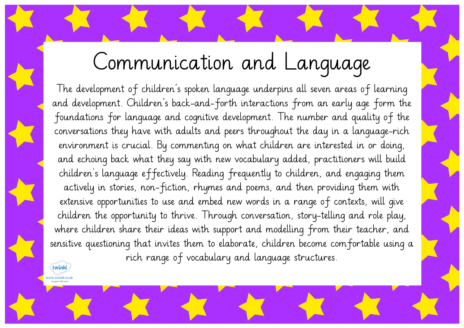# Communication and Language

The development of children's spoken language underpins all seven areas of learning and development. Children's back-and-forth interactions from an early age form the foundations for language and cognitive development. The number and quality of the conversations they have with adults and peers throughout the day in a language-rich environment is crucial. By commenting on what children are interested in or doing, and echoing back what they say with new vocabulary added, practitioners will build children's language effectively. Reading frequently to children, and engaging them actively in stories, non-fiction, rhymes and poems, and then providing them with extensive opportunities to use and embed new words in a range of contexts, will give children the opportunity to thrive. Through conversation, story-telling and role play, where children share their ideas with support and modelling from their teacher, and sensitive questioning that invites them to elaborate, children become comfortable using a rich range of vocabulary and language structures.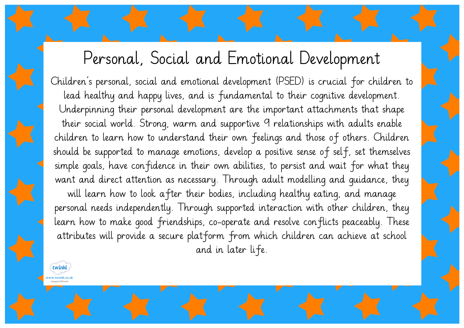#### Personal, Social and Emotional Development

Children's personal, social and emotional development (PSED) is crucial for children to lead healthy and happy lives, and is fundamental to their cognitive development. Underpinning their personal development are the important attachments that shape their social world. Strong, warm and supportive 9 relationships with adults enable children to learn how to understand their own feelings and those of others. Children should be supported to manage emotions, develop a positive sense of self, set themselves simple goals, have confidence in their own abilities, to persist and wait for what they want and direct attention as necessary. Through adult modelling and guidance, they will learn how to look after their bodies, including healthy eating, and manage personal needs independently. Through supported interaction with other children, they learn how to make good friendships, co-operate and resolve conflicts peaceably. These attributes will provide a secure platform from which children can achieve at school and in later life.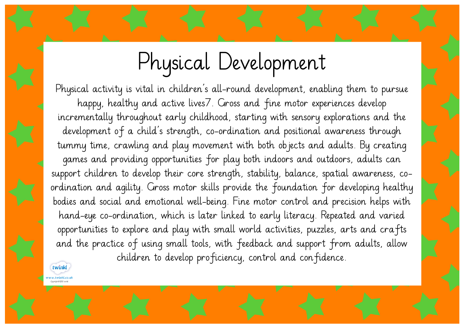# Physical Development

Physical activity is vital in children's all-round development, enabling them to pursue happy, healthy and active lives7. Gross and fine motor experiences develop incrementally throughout early childhood, starting with sensory explorations and the development of a child's strength, co-ordination and positional awareness through tummy time, crawling and play movement with both objects and adults. By creating games and providing opportunities for play both indoors and outdoors, adults can support children to develop their core strength, stability, balance, spatial awareness, coordination and agility. Gross motor skills provide the foundation for developing healthy bodies and social and emotional well-being. Fine motor control and precision helps with hand-eye co-ordination, which is later linked to early literacy. Repeated and varied opportunities to explore and play with small world activities, puzzles, arts and crafts and the practice of using small tools, with feedback and support from adults, allow children to develop proficiency, control and confidence.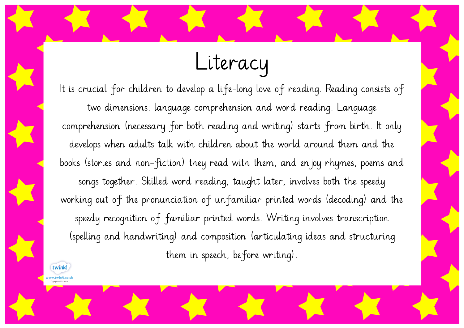## Literacy

It is crucial for children to develop a life-long love of reading. Reading consists of two dimensions: language comprehension and word reading. Language comprehension (necessary for both reading and writing) starts from birth. It only develops when adults talk with children about the world around them and the books (stories and non-fiction) they read with them, and enjoy rhymes, poems and songs together. Skilled word reading, taught later, involves both the speedy working out of the pronunciation of unfamiliar printed words (decoding) and the speedy recognition of familiar printed words. Writing involves transcription (spelling and handwriting) and composition (articulating ideas and structuring them in speech, before writing).

twink v.twinkl.co.uk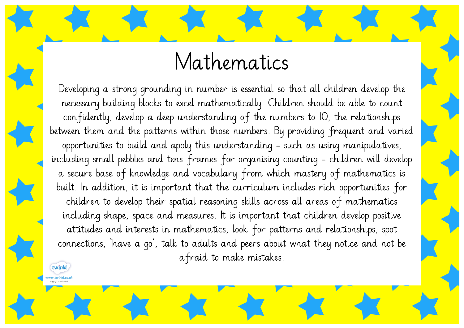### Mathematics

Developing a strong grounding in number is essential so that all children develop the necessary building blocks to excel mathematically. Children should be able to count confidently, develop a deep understanding of the numbers to 10, the relationships between them and the patterns within those numbers. By providing frequent and varied opportunities to build and apply this understanding - such as using manipulatives, including small pebbles and tens frames for organising counting - children will develop a secure base of knowledge and vocabulary from which mastery of mathematics is built. In addition, it is important that the curriculum includes rich opportunities for children to develop their spatial reasoning skills across all areas of mathematics including shape, space and measures. It is important that children develop positive attitudes and interests in mathematics, look for patterns and relationships, spot connections, 'have a go', talk to adults and peers about what they notice and not be afraid to make mistakes.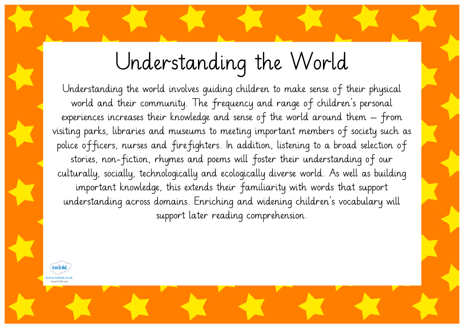# Understanding the World

Understanding the world involves guiding children to make sense of their physical world and their community. The frequency and range of children's personal experiences increases their knowledge and sense of the world around them – from visiting parks, libraries and museums to meeting important members of society such as police officers, nurses and firefighters. In addition, listening to a broad selection of stories, non-fiction, rhymes and poems will foster their understanding of our culturally, socially, technologically and ecologically diverse world. As well as building important knowledge, this extends their familiarity with words that support understanding across domains. Enriching and widening children's vocabulary will support later reading comprehension.